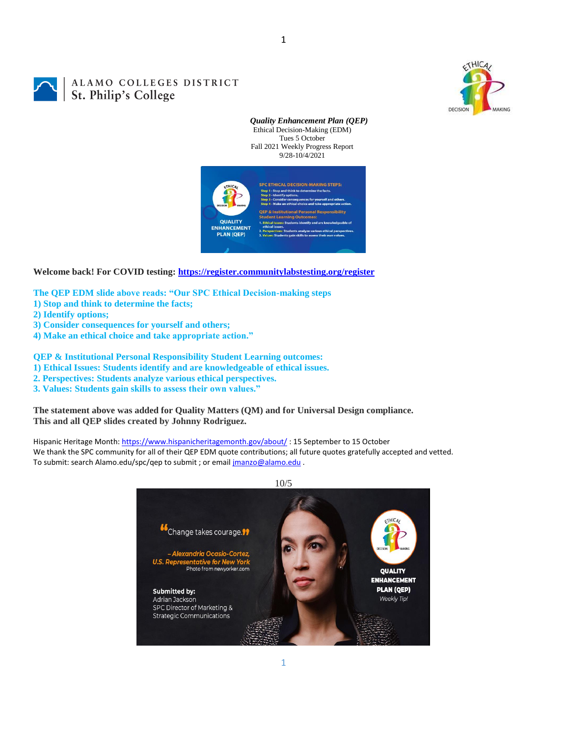

# ALAMO COLLEGES DISTRICT **St. Philip's Colleges**

*Quality Enhancement Plan (QEP)* Ethical Decision-Making (EDM) Tues 5 October Fall 2021 Weekly Progress Report 9/28-10/4/2021



1

**Welcome back! For COVID testing:<https://register.communitylabstesting.org/register>**

**The QEP EDM slide above reads: "Our SPC Ethical Decision-making steps** 

- **1) Stop and think to determine the facts;**
- **2) Identify options;**
- **3) Consider consequences for yourself and others;**
- **4) Make an ethical choice and take appropriate action."**

**QEP & Institutional Personal Responsibility Student Learning outcomes:** 

**1) Ethical Issues: Students identify and are knowledgeable of ethical issues.** 

- **2. Perspectives: Students analyze various ethical perspectives.**
- **3. Values: Students gain skills to assess their own values."**

**The statement above was added for Quality Matters (QM) and for Universal Design compliance. This and all QEP slides created by Johnny Rodriguez.**

Hispanic Heritage Month[: https://www.hispanicheritagemonth.gov/about/](https://www.hispanicheritagemonth.gov/about/): 15 September to 15 October We thank the SPC community for all of their QEP EDM quote contributions; all future quotes gratefully accepted and vetted. To submit: search Alamo.edu/spc/qep to submit ; or email *jmanzo@alamo.edu* .

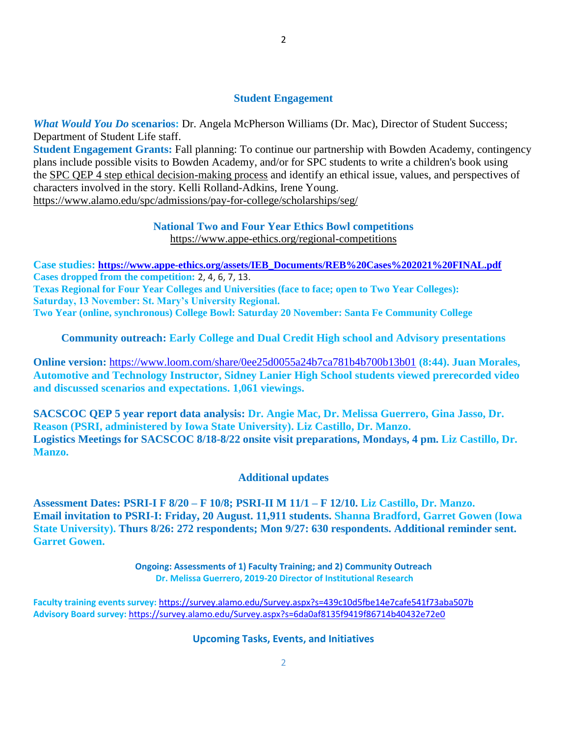## **Student Engagement**

*What Would You Do* **scenarios:** Dr. Angela McPherson Williams (Dr. Mac), Director of Student Success; Department of Student Life staff.

**Student Engagement Grants:** Fall planning: To continue our partnership with Bowden Academy, contingency plans include possible visits to Bowden Academy, and/or for SPC students to write a children's book using the [SPC QEP 4 step ethical decision-making process](https://mail.alamo.edu/owa/redir.aspx?REF=QPGGgOE-3HbbrbCAzqBFQWbtY3e2Gc0f0qSFld99-4hqZWSPr8DYCAFodHRwczovL3d3dy5hbGFtby5lZHUvbGluay8zYjg5NjQxMTY3MGY0YTZlYjU2MzNkNGFmNjE1OTBjNC5hc3B4) and identify an ethical issue, values, and perspectives of characters involved in the story. Kelli Rolland-Adkins, Irene Young. <https://www.alamo.edu/spc/admissions/pay-for-college/scholarships/seg/>

#### **National Two and Four Year Ethics Bowl competitions** <https://www.appe-ethics.org/regional-competitions>

**Case studies: [https://www.appe-ethics.org/assets/IEB\\_Documents/REB%20Cases%202021%20FINAL.pdf](https://www.appe-ethics.org/assets/IEB_Documents/REB%20Cases%202021%20FINAL.pdf) Cases dropped from the competition:** 2, 4, 6, 7, 13. **Texas Regional for Four Year Colleges and Universities (face to face; open to Two Year Colleges):** 

**Saturday, 13 November: St. Mary's University Regional.**

**Two Year (online, synchronous) College Bowl: Saturday 20 November: Santa Fe Community College**

**Community outreach: Early College and Dual Credit High school and Advisory presentations**

**Online version:** <https://www.loom.com/share/0ee25d0055a24b7ca781b4b700b13b01> **(8:44). Juan Morales, Automotive and Technology Instructor, Sidney Lanier High School students viewed prerecorded video and discussed scenarios and expectations. 1,061 viewings.**

**SACSCOC QEP 5 year report data analysis: Dr. Angie Mac, Dr. Melissa Guerrero, Gina Jasso, Dr. Reason (PSRI, administered by Iowa State University). Liz Castillo, Dr. Manzo. Logistics Meetings for SACSCOC 8/18-8/22 onsite visit preparations, Mondays, 4 pm. Liz Castillo, Dr. Manzo.**

### **Additional updates**

**Assessment Dates: PSRI-I F 8/20 – F 10/8; PSRI-II M 11/1 – F 12/10. Liz Castillo, Dr. Manzo. Email invitation to PSRI-I: Friday, 20 August. 11,911 students. Shanna Bradford, Garret Gowen (Iowa State University). Thurs 8/26: 272 respondents; Mon 9/27: 630 respondents. Additional reminder sent. Garret Gowen.**

> **Ongoing: Assessments of 1) Faculty Training; and 2) Community Outreach Dr. Melissa Guerrero, 2019-20 Director of Institutional Research**

**Faculty training events survey:** <https://survey.alamo.edu/Survey.aspx?s=439c10d5fbe14e7cafe541f73aba507b> **Advisory Board survey:** [https://survey.alamo.edu/Survey.aspx?s=6da0af8135f9419f86714b40432e72e0](https://mail.alamo.edu/owa/redir.aspx?C=ltSuwFrmmhFPV6kAmiCFHriyLNGIl0PeNuaCUMi1FWtl6dwQ6ubXCA..&URL=https%3a%2f%2fsurvey.alamo.edu%2fSurvey.aspx%3fs%3d6da0af8135f9419f86714b40432e72e0)

### **Upcoming Tasks, Events, and Initiatives**